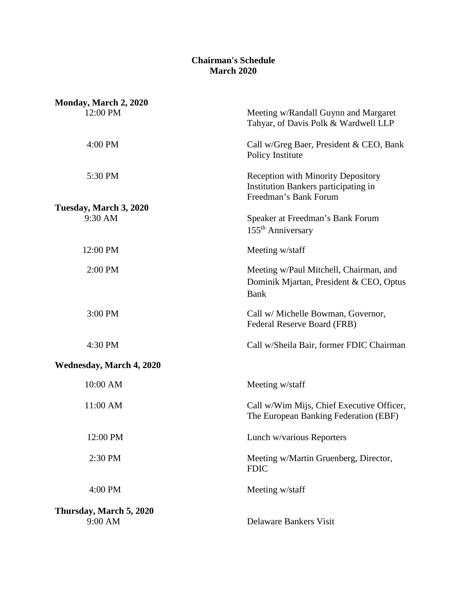## **Chairman's Schedule March 2020**

| Monday, March 2, 2020           |                                                                                                            |
|---------------------------------|------------------------------------------------------------------------------------------------------------|
| 12:00 PM                        | Meeting w/Randall Guynn and Margaret<br>Tahyar, of Davis Polk & Wardwell LLP                               |
| 4:00 PM                         | Call w/Greg Baer, President & CEO, Bank<br>Policy Institute                                                |
| 5:30 PM                         | <b>Reception with Minority Depository</b><br>Institution Bankers participating in<br>Freedman's Bank Forum |
| Tuesday, March 3, 2020          |                                                                                                            |
| 9:30 AM                         | Speaker at Freedman's Bank Forum<br>155 <sup>th</sup> Anniversary                                          |
| 12:00 PM                        | Meeting w/staff                                                                                            |
| 2:00 PM                         | Meeting w/Paul Mitchell, Chairman, and<br>Dominik Mjartan, President & CEO, Optus<br><b>Bank</b>           |
| 3:00 PM                         | Call w/ Michelle Bowman, Governor,<br>Federal Reserve Board (FRB)                                          |
| 4:30 PM                         | Call w/Sheila Bair, former FDIC Chairman                                                                   |
| <b>Wednesday, March 4, 2020</b> |                                                                                                            |
| 10:00 AM                        | Meeting w/staff                                                                                            |
| 11:00 AM                        | Call w/Wim Mijs, Chief Executive Officer,<br>The European Banking Federation (EBF)                         |
| 12:00 PM                        | Lunch w/various Reporters                                                                                  |
| 2:30 PM                         | Meeting w/Martin Gruenberg, Director,<br><b>FDIC</b>                                                       |
| 4:00 PM                         | Meeting w/staff                                                                                            |
| Thursday, March 5, 2020         |                                                                                                            |
| 9:00 AM                         | <b>Delaware Bankers Visit</b>                                                                              |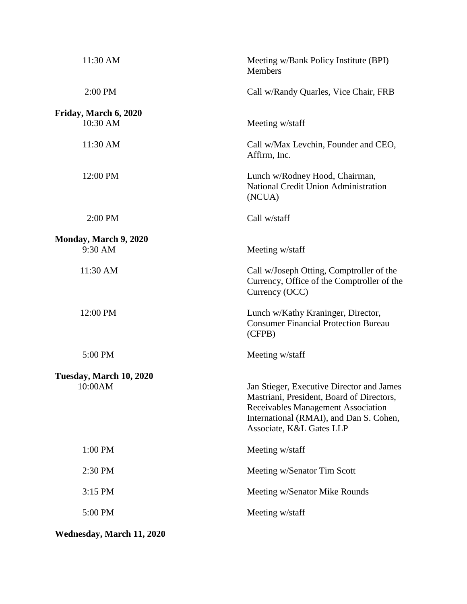| 11:30 AM                | Meeting w/Bank Policy Institute (BPI)<br><b>Members</b>                                                                                                                                             |
|-------------------------|-----------------------------------------------------------------------------------------------------------------------------------------------------------------------------------------------------|
| 2:00 PM                 | Call w/Randy Quarles, Vice Chair, FRB                                                                                                                                                               |
| Friday, March 6, 2020   |                                                                                                                                                                                                     |
| 10:30 AM                | Meeting w/staff                                                                                                                                                                                     |
| 11:30 AM                | Call w/Max Levchin, Founder and CEO,<br>Affirm, Inc.                                                                                                                                                |
| 12:00 PM                | Lunch w/Rodney Hood, Chairman,<br>National Credit Union Administration<br>(NCUA)                                                                                                                    |
| 2:00 PM                 | Call w/staff                                                                                                                                                                                        |
| Monday, March 9, 2020   |                                                                                                                                                                                                     |
| 9:30 AM                 | Meeting w/staff                                                                                                                                                                                     |
| 11:30 AM                | Call w/Joseph Otting, Comptroller of the<br>Currency, Office of the Comptroller of the<br>Currency (OCC)                                                                                            |
| 12:00 PM                | Lunch w/Kathy Kraninger, Director,<br><b>Consumer Financial Protection Bureau</b><br>(CFPB)                                                                                                         |
| 5:00 PM                 | Meeting w/staff                                                                                                                                                                                     |
| Tuesday, March 10, 2020 |                                                                                                                                                                                                     |
| 10:00AM                 | Jan Stieger, Executive Director and James<br>Mastriani, President, Board of Directors,<br>Receivables Management Association<br>International (RMAI), and Dan S. Cohen,<br>Associate, K&L Gates LLP |
| 1:00 PM                 | Meeting w/staff                                                                                                                                                                                     |
| 2:30 PM                 | Meeting w/Senator Tim Scott                                                                                                                                                                         |
| 3:15 PM                 | Meeting w/Senator Mike Rounds                                                                                                                                                                       |
| 5:00 PM                 | Meeting w/staff                                                                                                                                                                                     |
|                         |                                                                                                                                                                                                     |

**Wednesday, March 11, 2020**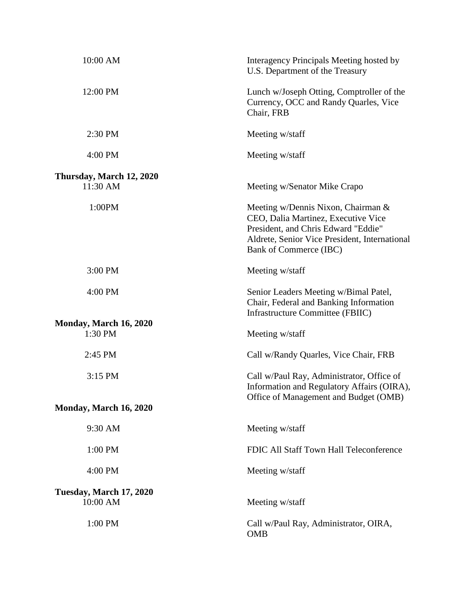| 10:00 AM                                 | Interagency Principals Meeting hosted by<br>U.S. Department of the Treasury                                                                                                                 |
|------------------------------------------|---------------------------------------------------------------------------------------------------------------------------------------------------------------------------------------------|
| 12:00 PM                                 | Lunch w/Joseph Otting, Comptroller of the<br>Currency, OCC and Randy Quarles, Vice<br>Chair, FRB                                                                                            |
| 2:30 PM                                  | Meeting w/staff                                                                                                                                                                             |
| 4:00 PM                                  | Meeting w/staff                                                                                                                                                                             |
| Thursday, March 12, 2020<br>11:30 AM     | Meeting w/Senator Mike Crapo                                                                                                                                                                |
| 1:00PM                                   | Meeting w/Dennis Nixon, Chairman &<br>CEO, Dalia Martinez, Executive Vice<br>President, and Chris Edward "Eddie"<br>Aldrete, Senior Vice President, International<br>Bank of Commerce (IBC) |
| 3:00 PM                                  | Meeting w/staff                                                                                                                                                                             |
| 4:00 PM                                  | Senior Leaders Meeting w/Bimal Patel,<br>Chair, Federal and Banking Information<br><b>Infrastructure Committee (FBIIC)</b>                                                                  |
| <b>Monday, March 16, 2020</b><br>1:30 PM | Meeting w/staff                                                                                                                                                                             |
| 2:45 PM                                  | Call w/Randy Quarles, Vice Chair, FRB                                                                                                                                                       |
| 3:15 PM                                  | Call w/Paul Ray, Administrator, Office of<br>Information and Regulatory Affairs (OIRA),<br>Office of Management and Budget (OMB)                                                            |
| <b>Monday, March 16, 2020</b>            |                                                                                                                                                                                             |
| 9:30 AM                                  | Meeting w/staff                                                                                                                                                                             |
| 1:00 PM                                  | FDIC All Staff Town Hall Teleconference                                                                                                                                                     |
| 4:00 PM                                  | Meeting w/staff                                                                                                                                                                             |
| Tuesday, March 17, 2020<br>10:00 AM      | Meeting w/staff                                                                                                                                                                             |
| 1:00 PM                                  | Call w/Paul Ray, Administrator, OIRA,<br><b>OMB</b>                                                                                                                                         |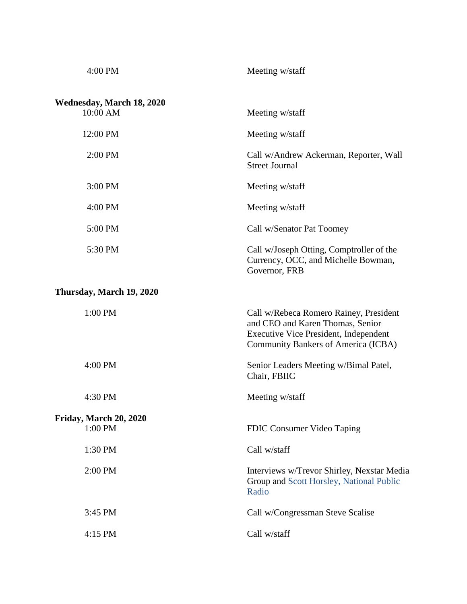| 4:00 PM                               | Meeting w/staff                                                                                                                                                   |
|---------------------------------------|-------------------------------------------------------------------------------------------------------------------------------------------------------------------|
| Wednesday, March 18, 2020<br>10:00 AM | Meeting w/staff                                                                                                                                                   |
| 12:00 PM                              | Meeting w/staff                                                                                                                                                   |
| 2:00 PM                               | Call w/Andrew Ackerman, Reporter, Wall<br><b>Street Journal</b>                                                                                                   |
| 3:00 PM                               | Meeting w/staff                                                                                                                                                   |
| 4:00 PM                               | Meeting w/staff                                                                                                                                                   |
| 5:00 PM                               | Call w/Senator Pat Toomey                                                                                                                                         |
| 5:30 PM                               | Call w/Joseph Otting, Comptroller of the<br>Currency, OCC, and Michelle Bowman,<br>Governor, FRB                                                                  |
| Thursday, March 19, 2020              |                                                                                                                                                                   |
| 1:00 PM                               | Call w/Rebeca Romero Rainey, President<br>and CEO and Karen Thomas, Senior<br><b>Executive Vice President, Independent</b><br>Community Bankers of America (ICBA) |
| 4:00 PM                               | Senior Leaders Meeting w/Bimal Patel,<br>Chair, FBIIC                                                                                                             |
| 4:30 PM                               | Meeting w/staff                                                                                                                                                   |
| Friday, March 20, 2020<br>1:00 PM     | FDIC Consumer Video Taping                                                                                                                                        |
| 1:30 PM                               | Call w/staff                                                                                                                                                      |
| 2:00 PM                               | Interviews w/Trevor Shirley, Nexstar Media<br>Group and Scott Horsley, National Public<br>Radio                                                                   |
| 3:45 PM                               | Call w/Congressman Steve Scalise                                                                                                                                  |
| 4:15 PM                               | Call w/staff                                                                                                                                                      |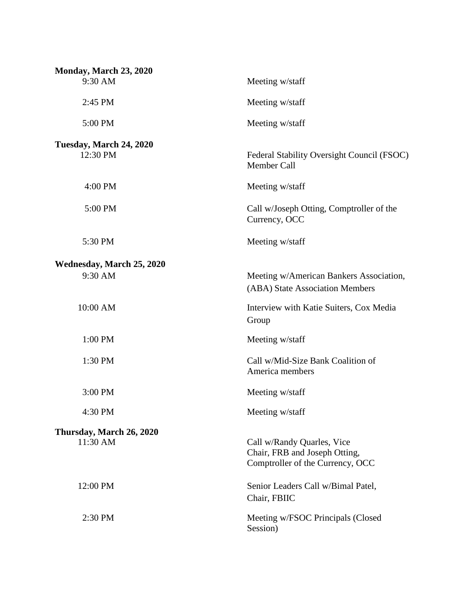| Monday, March 23, 2020    |                                                                                                 |
|---------------------------|-------------------------------------------------------------------------------------------------|
| 9:30 AM                   | Meeting w/staff                                                                                 |
| 2:45 PM                   | Meeting w/staff                                                                                 |
| 5:00 PM                   | Meeting w/staff                                                                                 |
| Tuesday, March 24, 2020   |                                                                                                 |
| 12:30 PM                  | Federal Stability Oversight Council (FSOC)<br>Member Call                                       |
| 4:00 PM                   | Meeting w/staff                                                                                 |
| 5:00 PM                   | Call w/Joseph Otting, Comptroller of the<br>Currency, OCC                                       |
| 5:30 PM                   | Meeting w/staff                                                                                 |
| Wednesday, March 25, 2020 |                                                                                                 |
| 9:30 AM                   | Meeting w/American Bankers Association,<br>(ABA) State Association Members                      |
| 10:00 AM                  | Interview with Katie Suiters, Cox Media<br>Group                                                |
| 1:00 PM                   | Meeting w/staff                                                                                 |
| 1:30 PM                   | Call w/Mid-Size Bank Coalition of<br>America members                                            |
| 3:00 PM                   | Meeting w/staff                                                                                 |
| 4:30 PM                   | Meeting w/staff                                                                                 |
| Thursday, March 26, 2020  |                                                                                                 |
| 11:30 AM                  | Call w/Randy Quarles, Vice<br>Chair, FRB and Joseph Otting,<br>Comptroller of the Currency, OCC |
| 12:00 PM                  | Senior Leaders Call w/Bimal Patel,<br>Chair, FBIIC                                              |
| 2:30 PM                   | Meeting w/FSOC Principals (Closed<br>Session)                                                   |